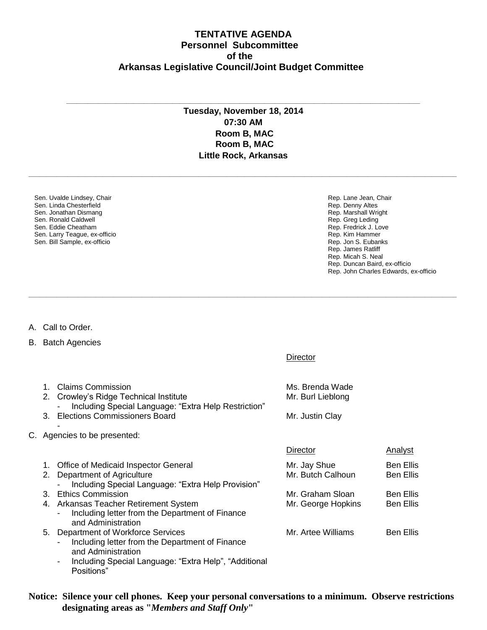## **TENTATIVE AGENDA Personnel Subcommittee of the Arkansas Legislative Council/Joint Budget Committee**

## **Tuesday, November 18, 2014 07:30 AM Room B, MAC Room B, MAC Little Rock, Arkansas**

**\_\_\_\_\_\_\_\_\_\_\_\_\_\_\_\_\_\_\_\_\_\_\_\_\_\_\_\_\_\_\_\_\_\_\_\_\_\_\_\_\_\_\_\_\_\_\_\_\_\_\_\_\_\_\_\_\_\_\_\_\_\_\_\_\_\_\_\_\_\_\_\_\_\_\_\_\_\_\_\_\_\_\_\_\_\_\_\_\_\_\_\_\_\_\_\_\_\_\_\_\_\_\_\_\_\_\_\_\_\_\_\_\_\_\_\_\_\_\_\_\_**

**\_\_\_\_\_\_\_\_\_\_\_\_\_\_\_\_\_\_\_\_\_\_\_\_\_\_\_\_\_\_\_\_\_\_\_\_\_\_\_\_\_\_\_\_\_\_\_\_\_\_\_\_\_\_\_\_\_\_\_\_\_\_\_\_\_\_\_\_\_\_\_\_\_\_\_\_\_\_\_\_\_\_\_\_\_\_\_\_\_\_\_\_\_\_\_\_\_\_\_\_\_\_\_\_\_\_\_\_\_\_\_\_\_\_\_\_\_\_\_\_\_**

Diroctor

**\_\_\_\_\_\_\_\_\_\_\_\_\_\_\_\_\_\_\_\_\_\_\_\_\_\_\_\_\_\_\_\_\_\_\_\_\_\_\_\_\_\_\_\_\_\_\_\_\_\_\_\_\_\_\_\_\_\_\_\_\_\_\_\_\_\_\_\_\_\_\_\_\_\_\_\_\_\_\_\_\_\_\_\_\_\_\_\_\_\_\_\_\_\_\_\_\_\_\_\_**

Sen. Uvalde Lindsey, Chair Sen. Linda Chesterfield Sen. Jonathan Dismang Sen. Ronald Caldwell Sen. Eddie Cheatham Sen. Larry Teague, ex-officio Sen. Bill Sample, ex-officio

Rep. Lane Jean, Chair Rep. Denny Altes Rep. Marshall Wright Rep. Greg Leding Rep. Fredrick J. Love Rep. Kim Hammer Rep. Jon S. Eubanks Rep. James Ratliff Rep. Micah S. Neal Rep. Duncan Baird, ex-officio Rep. John Charles Edwards, ex-officio

A. Call to Order.

B. Batch Agencies

Positions"

|                              |                                                                                                                                                                                                        | <b>DIIACIOI</b>                                         |                                      |  |  |
|------------------------------|--------------------------------------------------------------------------------------------------------------------------------------------------------------------------------------------------------|---------------------------------------------------------|--------------------------------------|--|--|
| 1.<br>2.<br>3.               | <b>Claims Commission</b><br>Crowley's Ridge Technical Institute<br>Including Special Language: "Extra Help Restriction"<br><b>Elections Commissioners Board</b>                                        | Ms. Brenda Wade<br>Mr. Burl Lieblong<br>Mr. Justin Clay |                                      |  |  |
| C. Agencies to be presented: |                                                                                                                                                                                                        |                                                         |                                      |  |  |
|                              |                                                                                                                                                                                                        | Director                                                | Analyst                              |  |  |
| 1.<br>2.                     | Office of Medicaid Inspector General<br>Department of Agriculture<br>Including Special Language: "Extra Help Provision"                                                                                | Mr. Jay Shue<br>Mr. Butch Calhoun                       | <b>Ben Ellis</b><br><b>Ben Ellis</b> |  |  |
|                              | 3. Ethics Commission                                                                                                                                                                                   | Mr. Graham Sloan                                        | Ben Ellis                            |  |  |
|                              | 4. Arkansas Teacher Retirement System<br>Including letter from the Department of Finance<br>$\blacksquare$<br>and Administration                                                                       | Mr. George Hopkins                                      | <b>Ben Ellis</b>                     |  |  |
|                              | 5. Department of Workforce Services<br>Including letter from the Department of Finance<br>$\overline{\phantom{0}}$<br>and Administration<br>Including Special Language: "Extra Help", "Additional<br>- | Mr. Artee Williams                                      | <b>Ben Ellis</b>                     |  |  |

**Notice: Silence your cell phones. Keep your personal conversations to a minimum. Observe restrictions designating areas as "***Members and Staff Only***"**